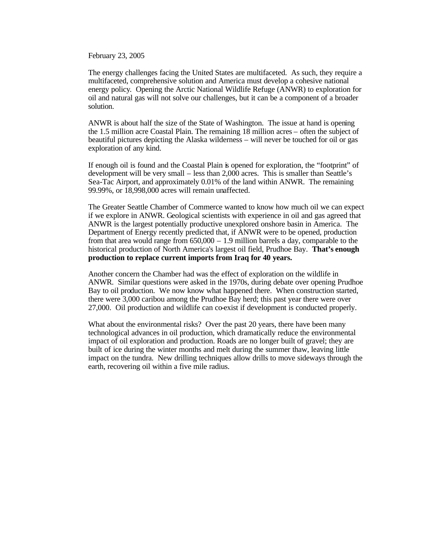February 23, 2005

The energy challenges facing the United States are multifaceted. As such, they require a multifaceted, comprehensive solution and America must develop a cohesive national energy policy. Opening the Arctic National Wildlife Refuge (ANWR) to exploration for oil and natural gas will not solve our challenges, but it can be a component of a broader solution.

ANWR is about half the size of the State of Washington. The issue at hand is opening the 1.5 million acre Coastal Plain. The remaining 18 million acres – often the subject of beautiful pictures depicting the Alaska wilderness – will never be touched for oil or gas exploration of any kind.

If enough oil is found and the Coastal Plain is opened for exploration, the "footprint" of development will be very small – less than 2,000 acres. This is smaller than Seattle's Sea-Tac Airport, and approximately 0.01% of the land within ANWR. The remaining 99.99%, or 18,998,000 acres will remain unaffected.

The Greater Seattle Chamber of Commerce wanted to know how much oil we can expect if we explore in ANWR. Geological scientists with experience in oil and gas agreed that ANWR is the largest potentially productive unexplored onshore basin in America. The Department of Energy recently predicted that, if ANWR were to be opened, production from that area would range from  $650,000 - 1.9$  million barrels a day, comparable to the historical production of North America's largest oil field, Prudhoe Bay. **That's enough production to replace current imports from Iraq for 40 years.**

Another concern the Chamber had was the effect of exploration on the wildlife in ANWR. Similar questions were asked in the 1970s, during debate over opening Prudhoe Bay to oil production. We now know what happened there. When construction started, there were 3,000 caribou among the Prudhoe Bay herd; this past year there were over 27,000. Oil production and wildlife can co-exist if development is conducted properly.

What about the environmental risks? Over the past 20 years, there have been many technological advances in oil production, which dramatically reduce the environmental impact of oil exploration and production. Roads are no longer built of gravel; they are built of ice during the winter months and melt during the summer thaw, leaving little impact on the tundra. New drilling techniques allow drills to move sideways through the earth, recovering oil within a five mile radius.